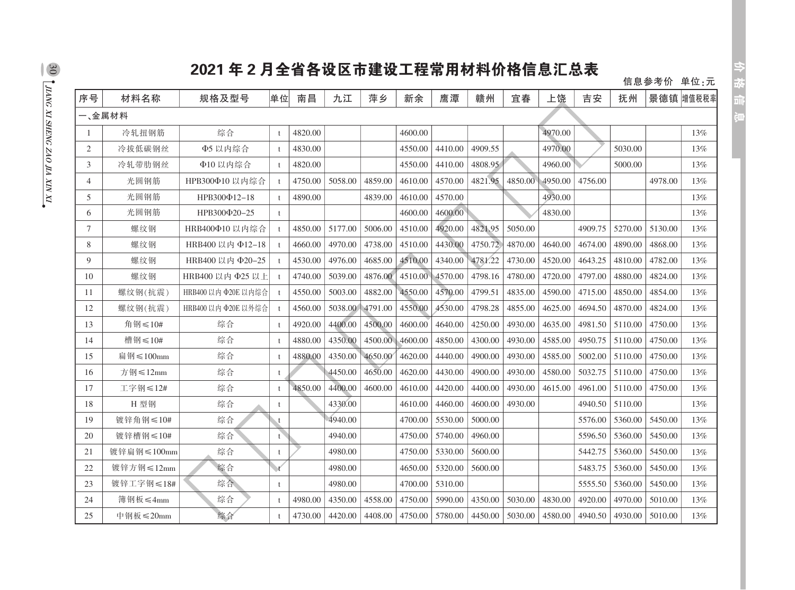## 2021年2月全省各设区市建设工程常用材料价格信息汇总表

信息参考价 单位:元

| 序号             | 材料名称            | 规格及型号               | 单位           | 南昌      | 九江      | 萍乡      | 新余      | 鹰潭      | 赣州      | 宜春      | 上饶      | 吉安      | 抚州      |         | 景德镇 增值税税率 |
|----------------|-----------------|---------------------|--------------|---------|---------|---------|---------|---------|---------|---------|---------|---------|---------|---------|-----------|
|                | 一、金属材料          |                     |              |         |         |         |         |         |         |         |         |         |         |         |           |
|                | 冷轧扭钢筋           | 综合                  | $\ddagger$   | 4820.00 |         |         | 4600.00 |         |         |         | 4970.00 |         |         |         | 13%       |
| 2              | 冷拔低碳钢丝          | Φ5 以内综合             | $\ddagger$   | 4830.00 |         |         | 4550.00 | 4410.00 | 4909.55 |         | 4970.00 |         | 5030.00 |         | 13%       |
| 3              | 冷轧带肋钢丝          | Φ10 以内综合            |              | 4820.00 |         |         | 4550.00 | 4410.00 | 4808.95 |         | 4960.00 |         | 5000.00 |         | 13%       |
| $\overline{4}$ | 光圆钢筋            | HPB300Φ10 以内综合      |              | 4750.00 | 5058.00 | 4859.00 | 4610.00 | 4570.00 | 4821.95 | 4850.00 | 4950.00 | 4756.00 |         | 4978.00 | 13%       |
| 5              | 光圆钢筋            | НРВ300Ф12-18        |              | 4890.00 |         | 4839.00 | 4610.00 | 4570.00 |         |         | 4930.00 |         |         |         | 13%       |
| 6              | 光圆钢筋            | НРВ300Ф20-25        | $^{\dagger}$ |         |         |         | 4600.00 | 4600.00 |         |         | 4830.00 |         |         |         | 13%       |
| 7              | 螺纹钢             | HRB400Φ10 以内综合      |              | 4850.00 | 5177.00 | 5006.00 | 4510.00 | 4920.00 | 4821.95 | 5050.00 |         | 4909.75 | 5270.00 | 5130.00 | 13%       |
| 8              | 螺纹钢             | HRB400 以内 Φ12-18    |              | 4660.00 | 4970.00 | 4738.00 | 4510.00 | 4430.00 | 4750.72 | 4870.00 | 4640.00 | 4674.00 | 4890.00 | 4868.00 | 13%       |
| 9              | 螺纹钢             | HRB400 以内 Φ20-25    |              | 4530.00 | 4976.00 | 4685.00 | 4510.00 | 4340.00 | 4781.22 | 4730.00 | 4520.00 | 4643.25 | 4810.00 | 4782.00 | 13%       |
| 10             | 螺纹钢             | HRB400 以内 Φ25 以上    |              | 4740.00 | 5039.00 | 4876.00 | 4510.00 | 4570.00 | 4798.16 | 4780.00 | 4720.00 | 4797.00 | 4880.00 | 4824.00 | 13%       |
| 11             | 螺纹钢(抗震)         | HRB400 以内 Φ20Ε 以内综合 |              | 4550.00 | 5003.00 | 4882.00 | 4550.00 | 4570.00 | 4799.51 | 4835.00 | 4590.00 | 4715.00 | 4850.00 | 4854.00 | 13%       |
| 12             | 螺纹钢(抗震)         | HRB400 以内 Φ20Ε 以外综合 |              | 4560.00 | 5038.00 | 4791.00 | 4550.00 | 4530.00 | 4798.28 | 4855.00 | 4625.00 | 4694.50 | 4870.00 | 4824.00 | 13%       |
| 13             | 角钢≤10#          | 综合                  | $\mathbf{f}$ | 4920.00 | 4400.00 | 4500.00 | 4600.00 | 4640.00 | 4250.00 | 4930.00 | 4635.00 | 4981.50 | 5110.00 | 4750.00 | 13%       |
| 14             | 槽钢≤10#          | 综合                  | $\ddagger$   | 4880.00 | 4350.00 | 4500.00 | 4600.00 | 4850.00 | 4300.00 | 4930.00 | 4585.00 | 4950.75 | 5110.00 | 4750.00 | 13%       |
| 15             | 扁钢≤100mm        | 综合                  |              | 4880.00 | 4350.00 | 4650.00 | 4620.00 | 4440.00 | 4900.00 | 4930.00 | 4585.00 | 5002.00 | 5110.00 | 4750.00 | 13%       |
| 16             | 方钢≤12mm         | 综合                  | t            |         | 4450.00 | 4650.00 | 4620.00 | 4430.00 | 4900.00 | 4930.00 | 4580.00 | 5032.75 | 5110.00 | 4750.00 | 13%       |
| 17             | 工字钢≤12#         | 综合                  | $\ddagger$   | 4850.00 | 4400.00 | 4600.00 | 4610.00 | 4420.00 | 4400.00 | 4930.00 | 4615.00 | 4961.00 | 5110.00 | 4750.00 | 13%       |
| 18             | H 型钢            | 综合                  | t            |         | 4330.00 |         | 4610.00 | 4460.00 | 4600.00 | 4930.00 |         | 4940.50 | 5110.00 |         | 13%       |
| 19             | 镀锌角钢≤10#        | 综合                  | t            |         | 4940.00 |         | 4700.00 | 5530.00 | 5000.00 |         |         | 5576.00 | 5360.00 | 5450.00 | 13%       |
| 20             | 镀锌槽钢≤10#        | 综合                  | $\mathbf{t}$ |         | 4940.00 |         | 4750.00 | 5740.00 | 4960.00 |         |         | 5596.50 | 5360.00 | 5450.00 | 13%       |
| 21             | 镀锌扁钢≤100mm      | 综合                  | t            |         | 4980.00 |         | 4750.00 | 5330.00 | 5600.00 |         |         | 5442.75 | 5360.00 | 5450.00 | 13%       |
| 22             | 镀锌方钢≤12mm       | 综合                  | t            |         | 4980.00 |         | 4650.00 | 5320.00 | 5600.00 |         |         | 5483.75 | 5360.00 | 5450.00 | 13%       |
| 23             | 镀锌工字钢≤18#       | 综合                  | t            |         | 4980.00 |         | 4700.00 | 5310.00 |         |         |         | 5555.50 | 5360.00 | 5450.00 | 13%       |
| 24             | 簿钢板≤4mm         | 综合                  | $\ddagger$   | 4980.00 | 4350.00 | 4558.00 | 4750.00 | 5990.00 | 4350.00 | 5030.00 | 4830.00 | 4920.00 | 4970.00 | 5010.00 | 13%       |
| 25             | 中钢板 $\leq$ 20mm | 综合                  |              | 4730.00 | 4420.00 | 4408.00 | 4750.00 | 5780.00 | 4450.00 | 5030.00 | 4580.00 | 4940.50 | 4930.00 | 5010.00 | 13%       |

 $\frac{30}{20}$  , thang xi sheng zao ila xin xi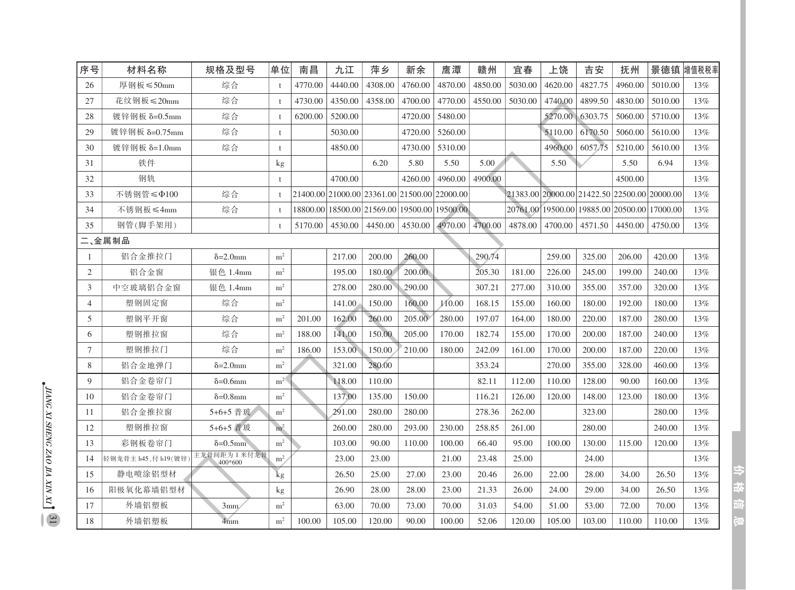| 序号             | 材料名称               | 规格及型号                    | 单位             | 南昌      | 九江      | 萍乡                                           | 新余      | 鹰潭      | 赣州      | 宜春      | 上饶      | 吉安                                           | 抚州      | 景德镇      | 增值税税率 |
|----------------|--------------------|--------------------------|----------------|---------|---------|----------------------------------------------|---------|---------|---------|---------|---------|----------------------------------------------|---------|----------|-------|
| 26             | 厚钢板≤50mm           | 综合                       |                | 4770.00 | 4440.00 | 4308.00                                      | 4760.00 | 4870.00 | 4850.00 | 5030.00 | 4620.00 | 4827.75                                      | 4960.00 | 5010.00  | 13%   |
| 27             | 花纹钢板≤20mm          | 综合                       | $\ddagger$     | 4730.00 | 4350.00 | 4358.00                                      | 4700.00 | 4770.00 | 4550.00 | 5030.00 | 4740.00 | 4899.50                                      | 4830.00 | 5010.00  | 13%   |
| 28             | 镀锌钢板 δ=0.5mm       | 综合                       | $\mathbf{f}$   | 6200.00 | 5200.00 |                                              | 4720.00 | 5480.00 |         |         | 5270.00 | 6303.75                                      | 5060.00 | 5710.00  | 13%   |
| 29             | 镀锌钢板 δ=0.75mm      | 综合                       | t              |         | 5030.00 |                                              | 4720.00 | 5260.00 |         |         | 5110.00 | 6170.50                                      | 5060.00 | 5610.00  | 13%   |
| 30             | 镀锌钢板 δ=1.0mm       | 综合                       | $\ddagger$     |         | 4850.00 |                                              | 4730.00 | 5310.00 |         |         | 4960.00 | 6057.75                                      | 5210.00 | 5610.00  | 13%   |
| 31             | 铁件                 |                          | kg             |         |         | 6.20                                         | 5.80    | 5.50    | 5.00    |         | 5.50    |                                              | 5.50    | 6.94     | 13%   |
| 32             | 钢轨                 |                          | $\ddagger$     |         | 4700.00 |                                              | 4260.00 | 4960.00 | 4900.00 |         |         |                                              | 4500.00 |          | 13%   |
| 33             | 不锈钢管≤Φ100          | 综合                       | $\ddagger$     |         |         | 21400.0021000.0023361.0021500.0022000.00     |         |         |         |         |         | 21383.00 20000.00 21422.50 22500.00 20000.00 |         |          | 13%   |
| 34             | 不锈钢板≤4mm           | 综合                       | $\pm$          |         |         | 18800.00 18500.00 21569.00 19500.00 19500.00 |         |         |         |         |         | 20761.00 19500.00 19885.00 20500.00          |         | 17000.00 | 13%   |
| 35             | 钢管(脚手架用)           |                          |                | 5170.00 | 4530.00 | 4450.00                                      | 4530.00 | 4970.00 | 4700.00 | 4878.00 | 4700.00 | 4571.50                                      | 4450.00 | 4750.00  | 13%   |
|                | 二、金属制品             |                          |                |         |         |                                              |         |         |         |         |         |                                              |         |          |       |
| -1             | 铝合金推拉门             | $\delta = 2.0$ mm        | m <sup>2</sup> |         | 217.00  | 200.00                                       | 260.00  |         | 290.74  |         | 259.00  | 325.00                                       | 206.00  | 420.00   | 13%   |
| 2              | 铝合金窗               | 银色 1.4mm                 | m <sup>2</sup> |         | 195.00  | 180.00                                       | 200.00  |         | 205.30  | 181.00  | 226.00  | 245.00                                       | 199.00  | 240.00   | 13%   |
| 3              | 中空玻璃铝合金窗           | 银色 1.4mm                 | m <sup>2</sup> |         | 278.00  | 280.00                                       | 290.00  |         | 307.21  | 277.00  | 310.00  | 355.00                                       | 357.00  | 320.00   | 13%   |
| $\overline{4}$ | 塑钢固定窗              | 综合                       | m <sup>2</sup> |         | 141.00  | 150.00                                       | 160.00  | 110.00  | 168.15  | 155.00  | 160.00  | 180.00                                       | 192.00  | 180.00   | 13%   |
| 5              | 塑钢平开窗              | 综合                       | m <sup>2</sup> | 201.00  | 162.00  | 260.00                                       | 205.00  | 280.00  | 197.07  | 164.00  | 180.00  | 220.00                                       | 187.00  | 280.00   | 13%   |
| 6              | 塑钢推拉窗              | 综合                       | m <sup>2</sup> | 188.00  | 141.00  | 150.00                                       | 205.00  | 170.00  | 182.74  | 155.00  | 170.00  | 200.00                                       | 187.00  | 240.00   | 13%   |
| $\tau$         | 塑钢推拉门              | 综合                       | m <sup>2</sup> | 186.00  | 153.00  | 150.00                                       | 210.00  | 180.00  | 242.09  | 161.00  | 170.00  | 200.00                                       | 187.00  | 220.00   | 13%   |
| 8              | 铝合金地弹门             | $\delta = 2.0$ mm        | $\rm m^2$      |         | 321.00  | 280.00                                       |         |         | 353.24  |         | 270.00  | 355.00                                       | 328.00  | 460.00   | 13%   |
| 9              | 铝合金卷帘门             | $\delta = 0.6$ mm        | m <sup>2</sup> |         | 118.00  | 110.00                                       |         |         | 82.11   | 112.00  | 110.00  | 128.00                                       | 90.00   | 160.00   | 13%   |
| 10             | 铝合金卷帘门             | $\delta = 0.8$ mm        | m <sup>2</sup> |         | 137.00  | 135.00                                       | 150.00  |         | 116.21  | 126.00  | 120.00  | 148.00                                       | 123.00  | 180.00   | 13%   |
| 11             | 铝合金推拉窗             | 5+6+5 普玻                 | m <sup>2</sup> |         | 291.00  | 280.00                                       | 280.00  |         | 278.36  | 262.00  |         | 323.00                                       |         | 280.00   | 13%   |
| 12             | 塑钢推拉窗              | 5+6+5 普玻                 | m <sup>2</sup> |         | 260.00  | 280.00                                       | 293.00  | 230.00  | 258.85  | 261.00  |         | 280.00                                       |         | 240.00   | 13%   |
| 13             | 彩钢板卷帘门             | $\delta = 0.5$ mm        | m <sup>2</sup> |         | 103.00  | 90.00                                        | 110.00  | 100.00  | 66.40   | 95.00   | 100.00  | 130.00                                       | 115.00  | 120.00   | 13%   |
| 14             | 轻钢龙骨主 h45、付 h19(镀锌 | 主龙骨间距为 1 米付龙骨<br>400*600 | m <sup>2</sup> |         | 23.00   | 23.00                                        |         | 21.00   | 23.48   | 25.00   |         | 24.00                                        |         |          | 13%   |
| 15             | 静电喷涂铝型材            |                          | kg             |         | 26.50   | 25.00                                        | 27.00   | 23.00   | 20.46   | 26.00   | 22.00   | 28.00                                        | 34.00   | 26.50    | 13%   |
| 16             | 阳极氧化幕墙铝型材          |                          | kg             |         | 26.90   | 28.00                                        | 28.00   | 23.00   | 21.33   | 26.00   | 24.00   | 29.00                                        | 34.00   | 26.50    | 13%   |
| 17             | 外墙铝塑板              | 3mm                      | m <sup>2</sup> |         | 63.00   | 70.00                                        | 73.00   | 70.00   | 31.03   | 54.00   | 51.00   | 53.00                                        | 72.00   | 70.00    | 13%   |
| 18             | 外墙铝塑板              | 4mm                      | m <sup>2</sup> | 100.00  | 105.00  | 120.00                                       | 90.00   | 100.00  | 52.06   | 120.00  | 105.00  | 103.00                                       | 110.00  | 110.00   | 13%   |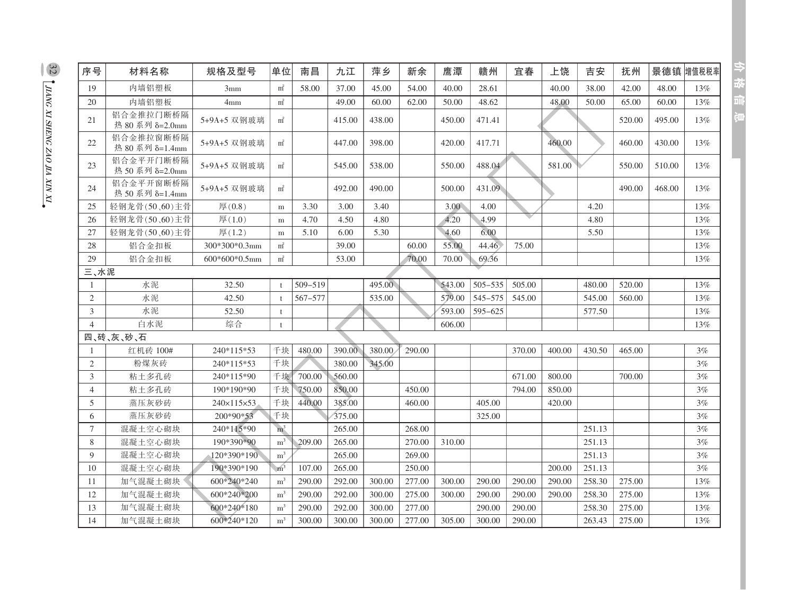| 序号             | 材料名称                         | 规格及型号           | 单位             | 南昌      | 九江     | 萍乡     | 新余     | 應潭     | 赣州          | 宜春     | 上饶     | 吉安     | 抚州     |        | 景德镇增值税税率 |
|----------------|------------------------------|-----------------|----------------|---------|--------|--------|--------|--------|-------------|--------|--------|--------|--------|--------|----------|
| 19             | 内墙铝塑板                        | 3mm             | $m^2$          | 58.00   | 37.00  | 45.00  | 54.00  | 40.00  | 28.61       |        | 40.00  | 38.00  | 42.00  | 48.00  | 13%      |
| 20             | 内墙铝塑板                        | 4mm             | $m^2$          |         | 49.00  | 60.00  | 62.00  | 50.00  | 48.62       |        | 48.00  | 50.00  | 65.00  | 60.00  | 13%      |
| 21             | 铝合金推拉门断桥隔<br>热 80 系列 δ=2.0mm | 5+9A+5 双钢玻璃     | $m^2$          |         | 415.00 | 438.00 |        | 450.00 | 471.41      |        |        |        | 520.00 | 495.00 | 13%      |
| 22             | 铝合金推拉窗断桥隔<br>热 80 系列 δ=1.4mm | 5+9A+5 双钢玻璃     | $m^2$          |         | 447.00 | 398.00 |        | 420.00 | 417.71      |        | 460.00 |        | 460.00 | 430.00 | 13%      |
| 23             | 铝合金平开门断桥隔<br>热 50 系列 δ=2.0mm | 5+9A+5 双钢玻璃     | $m^2$          |         | 545.00 | 538.00 |        | 550.00 | 488.04      |        | 581.00 |        | 550.00 | 510.00 | 13%      |
| 24             | 铝合金平开窗断桥隔<br>热 50 系列 δ=1.4mm | 5+9A+5 双钢玻璃     | $m^2$          |         | 492.00 | 490.00 |        | 500.00 | 431.09      |        |        |        | 490.00 | 468.00 | 13%      |
| 25             | 轻钢龙骨(50、60)主骨                | 厚(0.8)          | ${\bf m}$      | 3.30    | 3.00   | 3.40   |        | 3.00   | 4.00        |        |        | 4.20   |        |        | 13%      |
| 26             | 轻钢龙骨(50、60)主骨                | 厚(1.0)          | m              | 4.70    | 4.50   | 4.80   |        | 4.20   | 4.99        |        |        | 4.80   |        |        | 13%      |
| 27             | 轻钢龙骨(50、60)主骨                | $\sqrt{4(1.2)}$ | ${\bf m}$      | 5.10    | 6.00   | 5.30   |        | 4.60   | 6.00        |        |        | 5.50   |        |        | 13%      |
| 28             | 铝合金扣板                        | 300*300*0.3mm   | $m^2$          |         | 39.00  |        | 60.00  | 55.00  | 44.46       | 75.00  |        |        |        |        | 13%      |
| 29             | 铝合金扣板                        | $600*600*0.5mm$ | $m^2$          |         | 53.00  |        | 70.00  | 70.00  | 69.36       |        |        |        |        |        | 13%      |
| 三、水泥           |                              |                 |                |         |        |        |        |        |             |        |        |        |        |        |          |
| 1              | 水泥                           | 32.50           | t              | 509-519 |        | 495.00 |        | 543.00 | $505 - 535$ | 505.00 |        | 480.00 | 520.00 |        | 13%      |
| $\sqrt{2}$     | 水泥                           | 42.50           | $\mathbf{t}$   | 567-577 |        | 535.00 |        | 579.00 | 545-575     | 545.00 |        | 545.00 | 560.00 |        | 13%      |
| 3              | 水泥                           | 52.50           | t              |         |        |        |        | 593.00 | $595 - 625$ |        |        | 577.50 |        |        | 13%      |
| $\overline{4}$ | 白水泥                          | 综合              | t              |         |        |        |        | 606.00 |             |        |        |        |        |        | 13%      |
|                | 四、砖、灰、砂、石                    |                 |                |         |        |        |        |        |             |        |        |        |        |        |          |
| -1             | 红机砖 100#                     | 240*115*53      | 千块             | 480.00  | 390.00 | 380.00 | 290.00 |        |             | 370.00 | 400.00 | 430.50 | 465.00 |        | 3%       |
| $\mathfrak{2}$ | 粉煤灰砖                         | 240*115*53      | 千块             |         | 380.00 | 345.00 |        |        |             |        |        |        |        |        | 3%       |
| $\mathfrak{Z}$ | 粘土多孔砖                        | 240*115*90      | 千块             | 700.00  | 560.00 |        |        |        |             | 671.00 | 800.00 |        | 700.00 |        | 3%       |
| $\overline{4}$ | 粘土多孔砖                        | 190*190*90      | 千块             | 750.00  | 850.00 |        | 450.00 |        |             | 794.00 | 850.00 |        |        |        | 3%       |
| 5              | 蒸压灰砂砖                        | 240×115×53      | 千块             | 440.00  | 385.00 |        | 460.00 |        | 405.00      |        | 420.00 |        |        |        | 3%       |
| 6              | 蒸压灰砂砖                        | 200*90*53       | 千块             |         | 375.00 |        |        |        | 325.00      |        |        |        |        |        | 3%       |
| $\overline{7}$ | 混凝土空心砌块                      | 240*115*90      | m <sup>3</sup> |         | 265.00 |        | 268.00 |        |             |        |        | 251.13 |        |        | 3%       |
| $\,$ 8 $\,$    | 混凝土空心砌块                      | 190*390*90      | m <sup>3</sup> | 209.00  | 265.00 |        | 270.00 | 310.00 |             |        |        | 251.13 |        |        | 3%       |
| 9              | 混凝土空心砌块                      | 120*390*190     | m <sup>3</sup> |         | 265.00 |        | 269.00 |        |             |        |        | 251.13 |        |        | 3%       |
| 10             | 混凝土空心砌块                      | 190*390*190     | m <sup>3</sup> | 107.00  | 265.00 |        | 250.00 |        |             |        | 200.00 | 251.13 |        |        | 3%       |
| 11             | 加气混凝土砌块                      | 600*240*240     | m <sup>3</sup> | 290.00  | 292.00 | 300.00 | 277.00 | 300.00 | 290.00      | 290.00 | 290.00 | 258.30 | 275.00 |        | 13%      |
| 12             | 加气混凝土砌块                      | 600*240*200     | m <sup>3</sup> | 290.00  | 292.00 | 300.00 | 275.00 | 300.00 | 290.00      | 290.00 | 290.00 | 258.30 | 275.00 |        | 13%      |
| 13             | 加气混凝土砌块                      | 600*240*180     | m <sup>3</sup> | 290.00  | 292.00 | 300.00 | 277.00 |        | 290.00      | 290.00 |        | 258.30 | 275.00 |        | 13%      |
| 14             | 加气混凝土砌块                      | 600*240*120     | m <sup>3</sup> | 300.00  | 300.00 | 300.00 | 277.00 | 305.00 | 300.00      | 290.00 |        | 263.43 | 275.00 |        | 13%      |

分枝间间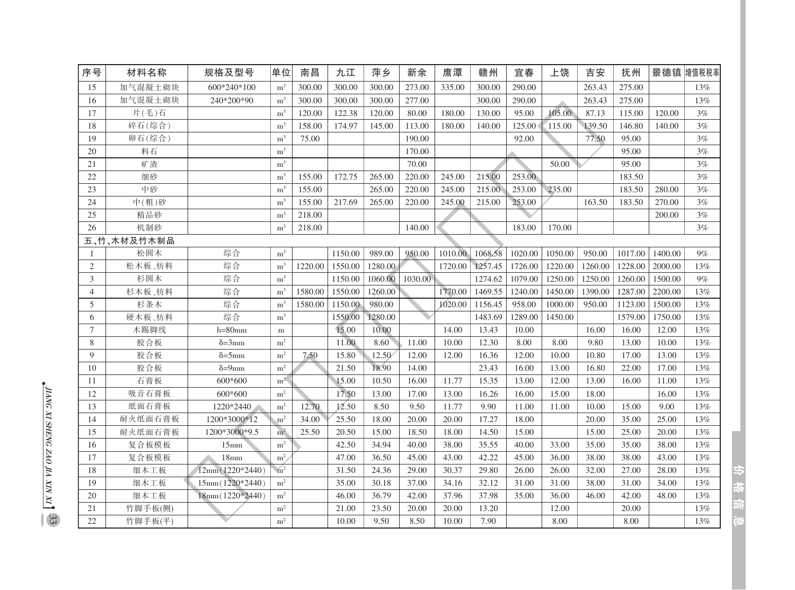| 序号             | 材料名称        | 规格及型号                  | 单位             | 南昌      | 九江      | 萍乡      | 新余      | 鹰潭      | 赣州      | 宜春      | 上饶      | 吉安      | 抚州      |         | 景德镇 增值税税率 |
|----------------|-------------|------------------------|----------------|---------|---------|---------|---------|---------|---------|---------|---------|---------|---------|---------|-----------|
| 15             | 加气混凝土砌块     | 600*240*100            | m <sup>3</sup> | 300.00  | 300.00  | 300.00  | 273.00  | 335.00  | 300.00  | 290.00  |         | 263.43  | 275.00  |         | 13%       |
| 16             | 加气混凝土砌块     | 240*200*90             | m <sup>3</sup> | 300.00  | 300.00  | 300.00  | 277.00  |         | 300.00  | 290.00  |         | 263.43  | 275.00  |         | 13%       |
| 17             | 片(毛)石       |                        | m <sup>3</sup> | 120.00  | 122.38  | 120.00  | 80.00   | 180.00  | 130.00  | 95.00   | 105.00  | 87.13   | 115.00  | 120.00  | 3%        |
| 18             | 碎石(综合)      |                        | m <sup>3</sup> | 158.00  | 174.97  | 145.00  | 113.00  | 180.00  | 140.00  | 125.00  | 115.00  | 139.50  | 146.80  | 140.00  | 3%        |
| 19             | 卵石(综合)      |                        | m <sup>3</sup> | 75.00   |         |         | 190.00  |         |         | 92.00   |         | 77.50   | 95.00   |         | 3%        |
| 20             | 料石          |                        | m <sup>3</sup> |         |         |         | 170.00  |         |         |         |         |         | 95.00   |         | 3%        |
| 21             | 矿渣          |                        | m <sup>3</sup> |         |         |         | 70.00   |         |         |         | 50.00   |         | 95.00   |         | 3%        |
| 22             | 细砂          |                        | m <sup>3</sup> | 155.00  | 172.75  | 265.00  | 220.00  | 245.00  | 215.00  | 253.00  |         |         | 183.50  |         | 3%        |
| 23             | 中砂          |                        | m <sup>3</sup> | 155.00  |         | 265.00  | 220.00  | 245.00  | 215.00  | 253.00  | 235.00  |         | 183.50  | 280.00  | 3%        |
| 24             | 中(粗)砂       |                        | m <sup>3</sup> | 155.00  | 217.69  | 265.00  | 220.00  | 245.00  | 215.00  | 253.00  |         | 163.50  | 183.50  | 270.00  | 3%        |
| 25             | 精品砂         |                        | m <sup>3</sup> | 218.00  |         |         |         |         |         |         |         |         |         | 200.00  | 3%        |
| 26             | 机制砂         |                        | m <sup>3</sup> | 218.00  |         |         | 140.00  |         |         | 183.00  | 170.00  |         |         |         | 3%        |
|                | 五、竹、木材及竹木制品 |                        |                |         |         |         |         |         |         |         |         |         |         |         |           |
| 1              | 松圆木         | 综合                     | m <sup>3</sup> |         | 1150.00 | 989.00  | 950.00  | 1010.00 | 1068.58 | 1020.00 | 1050.00 | 950.00  | 1017.00 | 1400.00 | 9%        |
| $\overline{c}$ | 松木板、枋料      | 综合                     | m <sup>3</sup> | 1220.00 | 1550.00 | 1280.00 |         | 1720.00 | 1257.45 | 1726.00 | 1220.00 | 1260.00 | 1228.00 | 2000.00 | 13%       |
| 3              | 杉圆木         | 综合                     | m <sup>3</sup> |         | 1150.00 | 1060.00 | 1030.00 |         | 1274.62 | 1079.00 | 1250.00 | 1250.00 | 1260.00 | 1500.00 | 9%        |
| $\overline{4}$ | 杉木板、枋料      | 综合                     | m <sup>3</sup> | 1580.00 | 1550.00 | 1260.00 |         | 1770.00 | 1469.55 | 1240.00 | 1450.00 | 1390.00 | 1287.00 | 2200.00 | 13%       |
| 5              | 杉条木         | 综合                     | m <sup>3</sup> | 1580.00 | 1150.00 | 980.00  |         | 1020.00 | 1156.45 | 958.00  | 1000.00 | 950.00  | 1123.00 | 1500.00 | 13%       |
| 6              | 硬木板、枋料      | 综合                     | m <sup>3</sup> |         | 1550.00 | 1280.00 |         |         | 1483.69 | 1289.00 | 1450.00 |         | 1579.00 | 1750.00 | 13%       |
| $\overline{7}$ | 木踢脚线        | $h = 80$ mm            | m              |         | 15.00   | 10.00   |         | 14.00   | 13.43   | 10.00   |         | 16.00   | 16.00   | 12.00   | 13%       |
| $8\,$          | 胶合板         | $\delta = 3$ mm        | m <sup>2</sup> |         | 11.00   | 8.60    | 11.00   | 10.00   | 12.30   | 8.00    | 8.00    | 9.80    | 13.00   | 10.00   | 13%       |
| 9              | 胶合板         | $\delta = 5$ mm        | m <sup>2</sup> | 7.50    | 15.80   | 12.50   | 12.00   | 12.00   | 16.36   | 12.00   | 10.00   | 10.80   | 17.00   | 13.00   | 13%       |
| 10             | 胶合板         | $\delta = 9 \text{mm}$ | m <sup>2</sup> |         | 21.50   | 18.90   | 14.00   |         | 23.43   | 16.00   | 13.00   | 16.80   | 22.00   | 17.00   | 13%       |
| 11             | 石膏板         | 600*600                | m <sup>2</sup> |         | 15.00   | 10.50   | 16.00   | 11.77   | 15.35   | 13.00   | 12.00   | 13.00   | 16.00   | 11.00   | 13%       |
| 12             | 吸音石膏板       | 600*600                | m <sup>2</sup> |         | 17.50   | 13.00   | 17.00   | 13.00   | 16.26   | 16.00   | 15.00   | 18.00   |         | 16.00   | 13%       |
| 13             | 纸面石膏板       | 1220*2440              | m <sup>2</sup> | 12.70   | 12.50   | 8.50    | 9.50    | 11.77   | 9.90    | 11.00   | 11.00   | 10.00   | 15.00   | 9.00    | 13%       |
| 14             | 耐火纸面石膏板     | 1200*3000*12           | m <sup>2</sup> | 34.00   | 25.50   | 18.00   | 20.00   | 20.00   | 17.27   | 18.00   |         | 20.00   | 35.00   | 25.00   | 13%       |
| 15             | 耐火纸面石膏板     | 1200*3000*9.5          | m <sup>2</sup> | 25.50   | 20.50   | 15.00   | 18.50   | 18.00   | 14.50   | 15.00   |         | 15.00   | 25.00   | 20.00   | 13%       |
| 16             | 复合板模板       | 15 <sub>mm</sub>       | m <sup>2</sup> |         | 42.50   | 34.94   | 40.00   | 38.00   | 35.55   | 40.00   | 33.00   | 35.00   | 35.00   | 38.00   | 13%       |
| 17             | 复合板模板       | 18 <sub>mm</sub>       | m <sup>2</sup> |         | 47.00   | 36.50   | 45.00   | 43.00   | 42.22   | 45.00   | 36.00   | 38.00   | 38.00   | 43.00   | 13%       |
| 18             | 细木工板        | $12mm(1220*2440)$      | m <sup>2</sup> |         | 31.50   | 24.36   | 29.00   | 30.37   | 29.80   | 26.00   | 26.00   | 32.00   | 27.00   | 28.00   | 13%       |
| 19             | 细木工板        | 15mm (1220*2440)       | m <sup>2</sup> |         | 35.00   | 30.18   | 37.00   | 34.16   | 32.12   | 31.00   | 31.00   | 38.00   | 31.00   | 34.00   | 13%       |
| 20             | 细木工板        | $18mm(1220*2440)$      | m <sup>2</sup> |         | 46.00   | 36.79   | 42.00   | 37.96   | 37.98   | 35.00   | 36.00   | 46.00   | 42.00   | 48.00   | 13%       |
| 21             | 竹脚手板(侧)     |                        | m <sup>2</sup> |         | 21.00   | 23.50   | 20.00   | 20.00   | 13.20   |         | 12.00   |         | 20.00   |         | 13%       |
| 22             | 竹脚手板(平)     |                        | m <sup>2</sup> |         | 10.00   | 9.50    | 8.50    | 10.00   | 7.90    |         | 8.00    |         | 8.00    |         | 13%       |

今夜前記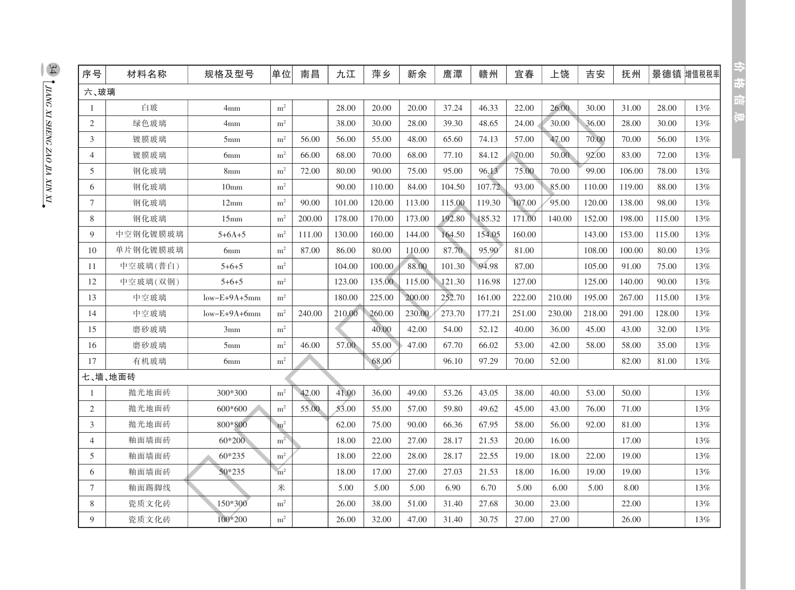| 序号             | 材料名称     | 规格及型号            | 单位             | 南昌     | 九江     | 萍乡     | 新余     | 應潭     | 赣州     | 宜春     | 上饶     | 吉安     | 抚州     |        | 景德镇 增值税税率 |
|----------------|----------|------------------|----------------|--------|--------|--------|--------|--------|--------|--------|--------|--------|--------|--------|-----------|
| 六、玻璃           |          |                  |                |        |        |        |        |        |        |        |        |        |        |        |           |
| $\mathbf{1}$   | 白玻       | 4mm              | m <sup>2</sup> |        | 28.00  | 20.00  | 20.00  | 37.24  | 46.33  | 22.00  | 26.00  | 30.00  | 31.00  | 28.00  | 13%       |
| $\overline{2}$ | 绿色玻璃     | 4mm              | m <sup>2</sup> |        | 38.00  | 30.00  | 28.00  | 39.30  | 48.65  | 24.00  | 30.00  | 36.00  | 28.00  | 30.00  | 13%       |
| 3              | 镀膜玻璃     | 5 <sub>mm</sub>  | m <sup>2</sup> | 56.00  | 56.00  | 55.00  | 48.00  | 65.60  | 74.13  | 57.00  | 47.00  | 70.00  | 70.00  | 56.00  | 13%       |
| $\overline{4}$ | 镀膜玻璃     | 6 <sub>mm</sub>  | m <sup>2</sup> | 66.00  | 68.00  | 70.00  | 68.00  | 77.10  | 84.12  | 70.00  | 50.00  | 92.00  | 83.00  | 72.00  | 13%       |
| 5              | 钢化玻璃     | 8 <sub>mm</sub>  | m <sup>2</sup> | 72.00  | 80.00  | 90.00  | 75.00  | 95.00  | 96.13  | 75.00  | 70.00  | 99.00  | 106.00 | 78.00  | 13%       |
| 6              | 钢化玻璃     | 10 <sub>mm</sub> | $\rm m^2$      |        | 90.00  | 110.00 | 84.00  | 104.50 | 107.72 | 93.00  | 85.00  | 110.00 | 119.00 | 88.00  | 13%       |
| $\tau$         | 钢化玻璃     | 12mm             | m <sup>2</sup> | 90.00  | 101.00 | 120.00 | 113.00 | 115.00 | 119.30 | 107.00 | 95.00  | 120.00 | 138.00 | 98.00  | 13%       |
| 8              | 钢化玻璃     | 15mm             | m <sup>2</sup> | 200.00 | 178.00 | 170.00 | 173.00 | 192.80 | 185.32 | 171.00 | 140.00 | 152.00 | 198.00 | 115.00 | 13%       |
| $\mathbf Q$    | 中空钢化镀膜玻璃 | $5 + 6A + 5$     | m <sup>2</sup> | 111.00 | 130.00 | 160.00 | 144.00 | 164.50 | 154.05 | 160.00 |        | 143.00 | 153.00 | 115.00 | 13%       |
| 10             | 单片钢化镀膜玻璃 | 6 <sub>mm</sub>  | m <sup>2</sup> | 87.00  | 86.00  | 80.00  | 110.00 | 87.70  | 95.90  | 81.00  |        | 108.00 | 100.00 | 80.00  | 13%       |
| 11             | 中空玻璃(普白) | $5 + 6 + 5$      | $\rm m^2$      |        | 104.00 | 100.00 | 88.00  | 101.30 | 94.98  | 87.00  |        | 105.00 | 91.00  | 75.00  | 13%       |
| 12             | 中空玻璃(双钢) | $5+6+5$          | m <sup>2</sup> |        | 123.00 | 135.00 | 115.00 | 121.30 | 116.98 | 127.00 |        | 125.00 | 140.00 | 90.00  | 13%       |
| 13             | 中空玻璃     | $low-E+9A+5mm$   | m <sup>2</sup> |        | 180.00 | 225.00 | 200.00 | 252.70 | 161.00 | 222.00 | 210.00 | 195.00 | 267.00 | 115.00 | 13%       |
| 14             | 中空玻璃     | $low-E+9A+6mm$   | m <sup>2</sup> | 240.00 | 210.00 | 260.00 | 230.00 | 273.70 | 177.21 | 251.00 | 230.00 | 218.00 | 291.00 | 128.00 | 13%       |
| 15             | 磨砂玻璃     | 3mm              | m <sup>2</sup> |        |        | 40.00  | 42.00  | 54.00  | 52.12  | 40.00  | 36.00  | 45.00  | 43.00  | 32.00  | 13%       |
| 16             | 磨砂玻璃     | 5 <sub>mm</sub>  | m <sup>2</sup> | 46.00  | 57.00  | 55.00  | 47.00  | 67.70  | 66.02  | 53.00  | 42.00  | 58.00  | 58.00  | 35.00  | 13%       |
| 17             | 有机玻璃     | 6 <sub>mm</sub>  | $\rm m^2$      |        |        | 68.00  |        | 96.10  | 97.29  | 70.00  | 52.00  |        | 82.00  | 81.00  | 13%       |
|                | 七、墙、地面砖  |                  |                |        |        |        |        |        |        |        |        |        |        |        |           |
| $\mathbf{1}$   | 抛光地面砖    | 300*300          | m <sup>2</sup> | 42.00  | 41.00  | 36.00  | 49.00  | 53.26  | 43.05  | 38.00  | 40.00  | 53.00  | 50.00  |        | 13%       |
| $\overline{2}$ | 抛光地面砖    | 600*600          | m <sup>2</sup> | 55.00  | 53.00  | 55.00  | 57.00  | 59.80  | 49.62  | 45.00  | 43.00  | 76.00  | 71.00  |        | 13%       |
| 3              | 抛光地面砖    | 800*800          | m <sup>2</sup> |        | 62.00  | 75.00  | 90.00  | 66.36  | 67.95  | 58.00  | 56.00  | 92.00  | 81.00  |        | 13%       |
| $\overline{4}$ | 釉面墙面砖    | $60*200$         | m <sup>2</sup> |        | 18.00  | 22.00  | 27.00  | 28.17  | 21.53  | 20.00  | 16.00  |        | 17.00  |        | 13%       |
| 5              | 釉面墙面砖    | $60*235$         | m <sup>2</sup> |        | 18.00  | 22.00  | 28.00  | 28.17  | 22.55  | 19.00  | 18.00  | 22.00  | 19.00  |        | 13%       |
| 6              | 釉面墙面砖    | 50*235           | m <sup>2</sup> |        | 18.00  | 17.00  | 27.00  | 27.03  | 21.53  | 18.00  | 16.00  | 19.00  | 19.00  |        | 13%       |
| 7              | 釉面踢脚线    |                  | 米              |        | 5.00   | 5.00   | 5.00   | 6.90   | 6.70   | 5.00   | 6.00   | 5.00   | 8.00   |        | 13%       |
| 8              | 瓷质文化砖    | 150*300          | m <sup>2</sup> |        | 26.00  | 38.00  | 51.00  | 31.40  | 27.68  | 30.00  | 23.00  |        | 22.00  |        | 13%       |
| 9              | 瓷质文化砖    | 100*200          | m <sup>2</sup> |        | 26.00  | 32.00  | 47.00  | 31.40  | 30.75  | 27.00  | 27.00  |        | 26.00  |        | 13%       |

分枝间间

 $\frac{34}{2}$  , LIANG XI SHENG ZAO IIA XIN XI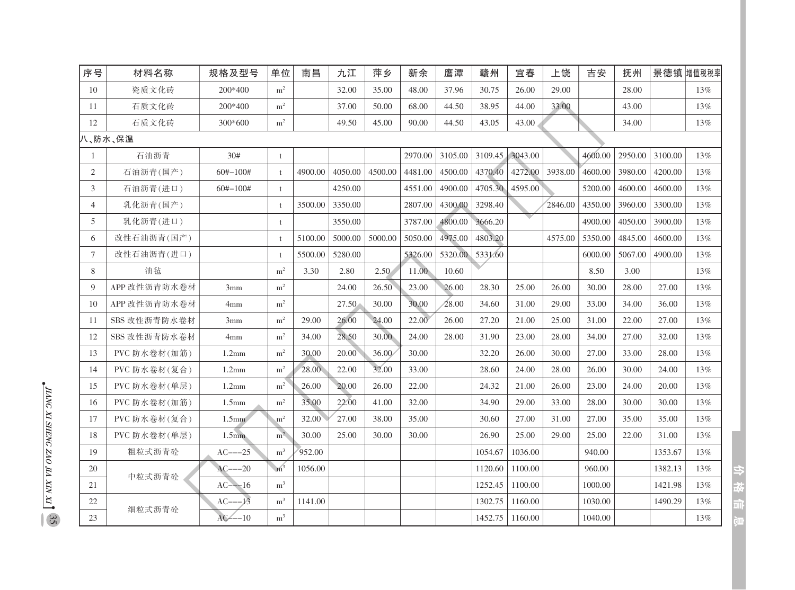| 序号     | 材料名称         | 规格及型号             | 单位             | 南昌      | 九江      | 萍乡      | 新余      | 鹰潭      | 赣州      | 宜春      | 上饶      | 吉安      | 抚州      |         | 景德镇 增值税税率 |
|--------|--------------|-------------------|----------------|---------|---------|---------|---------|---------|---------|---------|---------|---------|---------|---------|-----------|
| 10     | 瓷质文化砖        | 200*400           | m <sup>2</sup> |         | 32.00   | 35.00   | 48.00   | 37.96   | 30.75   | 26.00   | 29.00   |         | 28.00   |         | 13%       |
| 11     | 石质文化砖        | 200*400           | m <sup>2</sup> |         | 37.00   | 50.00   | 68.00   | 44.50   | 38.95   | 44.00   | 33.00   |         | 43.00   |         | 13%       |
| 12     | 石质文化砖        | 300*600           | m <sup>2</sup> |         | 49.50   | 45.00   | 90.00   | 44.50   | 43.05   | 43.00   |         |         | 34.00   |         | 13%       |
|        | 八、防水、保温      |                   |                |         |         |         |         |         |         |         |         |         |         |         |           |
| 1      | 石油沥青         | 30#               | t              |         |         |         | 2970.00 | 3105.00 | 3109.45 | 3043.00 |         | 4600.00 | 2950.00 | 3100.00 | 13%       |
| 2      | 石油沥青(国产)     | $60# - 100#$      | $\ddagger$     | 4900.00 | 4050.00 | 4500.00 | 4481.00 | 4500.00 | 4370.40 | 4272.00 | 3938.00 | 4600.00 | 3980.00 | 4200.00 | 13%       |
| 3      | 石油沥青(进口)     | $60# - 100#$      | $^{\dagger}$   |         | 4250.00 |         | 4551.00 | 4900.00 | 4705.30 | 4595.00 |         | 5200.00 | 4600.00 | 4600.00 | 13%       |
| 4      | 乳化沥青(国产)     |                   | $\ddagger$     | 3500.00 | 3350.00 |         | 2807.00 | 4300.00 | 3298.40 |         | 2846.00 | 4350.00 | 3960.00 | 3300.00 | 13%       |
| 5      | 乳化沥青(进口)     |                   | $\ddagger$     |         | 3550.00 |         | 3787.00 | 4800.00 | 3666.20 |         |         | 4900.00 | 4050.00 | 3900.00 | 13%       |
| 6      | 改性石油沥青(国产)   |                   | $\ddagger$     | 5100.00 | 5000.00 | 5000.00 | 5050.00 | 4975.00 | 4803.20 |         | 4575.00 | 5350.00 | 4845.00 | 4600.00 | 13%       |
| $\tau$ | 改性石油沥青(进口)   |                   | $\ddagger$     | 5500.00 | 5280.00 |         | 5326.00 | 5320.00 | 5331.60 |         |         | 6000.00 | 5067.00 | 4900.00 | 13%       |
| 8      | 油毡           |                   | m <sup>2</sup> | 3.30    | 2.80    | 2.50    | 11.00   | 10.60   |         |         |         | 8.50    | 3.00    |         | 13%       |
| 9      | APP 改性沥青防水卷材 | 3mm               | m <sup>2</sup> |         | 24.00   | 26.50   | 23.00   | 26.00   | 28.30   | 25.00   | 26.00   | 30.00   | 28.00   | 27.00   | 13%       |
| 10     | APP 改性沥青防水卷材 | 4mm               | m <sup>2</sup> |         | 27.50   | 30.00   | 30.00   | 28.00   | 34.60   | 31.00   | 29.00   | 33.00   | 34.00   | 36.00   | 13%       |
| 11     | SBS 改性沥青防水卷材 | 3mm               | m <sup>2</sup> | 29.00   | 26.00   | 24.00   | 22.00   | 26.00   | 27.20   | 21.00   | 25.00   | 31.00   | 22.00   | 27.00   | 13%       |
| 12     | SBS 改性沥青防水卷材 | 4mm               | m <sup>2</sup> | 34.00   | 28.50   | 30.00   | 24.00   | 28.00   | 31.90   | 23.00   | 28.00   | 34.00   | 27.00   | 32.00   | 13%       |
| 13     | PVC 防水卷材(加筋) | 1.2mm             | m <sup>2</sup> | 30.00   | 20.00   | 36.00   | 30.00   |         | 32.20   | 26.00   | 30.00   | 27.00   | 33.00   | 28.00   | 13%       |
| 14     | PVC 防水卷材(复合) | 1.2 <sub>mm</sub> | m <sup>2</sup> | 28.00   | 22.00   | 32.00   | 33.00   |         | 28.60   | 24.00   | 28.00   | 26.00   | 30.00   | 24.00   | 13%       |
| 15     | PVC 防水卷材(单层) | 1.2 <sub>mm</sub> | m <sup>2</sup> | 26.00   | 20.00   | 26.00   | 22.00   |         | 24.32   | 21.00   | 26.00   | 23.00   | 24.00   | 20.00   | 13%       |
| 16     | PVC 防水卷材(加筋) | 1.5 <sub>mm</sub> | m <sup>2</sup> | 35.00   | 22.00   | 41.00   | 32.00   |         | 34.90   | 29.00   | 33.00   | 28.00   | 30.00   | 30.00   | 13%       |
| 17     | PVC 防水卷材(复合) | 1.5 <sub>mm</sub> | m <sup>2</sup> | 32.00   | 27.00   | 38.00   | 35.00   |         | 30.60   | 27.00   | 31.00   | 27.00   | 35.00   | 35.00   | 13%       |
| 18     | PVC 防水卷材(单层) | 1.5 <sub>mm</sub> | m <sup>2</sup> | 30.00   | 25.00   | 30.00   | 30.00   |         | 26.90   | 25.00   | 29.00   | 25.00   | 22.00   | 31.00   | 13%       |
| 19     | 粗粒式沥青砼       | $AC---25$         | m <sup>3</sup> | 952.00  |         |         |         |         | 1054.67 | 1036.00 |         | 940.00  |         | 1353.67 | 13%       |
| 20     |              | $AC^{--20}$       | m <sup>3</sup> | 1056.00 |         |         |         |         | 1120.60 | 1100.00 |         | 960.00  |         | 1382.13 | 13%       |
| 21     | 中粒式沥青砼       | $AC---16$         | m <sup>3</sup> |         |         |         |         |         | 1252.45 | 1100.00 |         | 1000.00 |         | 1421.98 | 13%       |
| 22     |              | $AC^{--13}$       | m <sup>3</sup> | 1141.00 |         |         |         |         | 1302.75 | 1160.00 |         | 1030.00 |         | 1490.29 | 13%       |
| 23     | 细粒式沥青砼       | $AC---10$         | m <sup>3</sup> |         |         |         |         |         | 1452.75 | 1160.00 |         | 1040.00 |         |         | 13%       |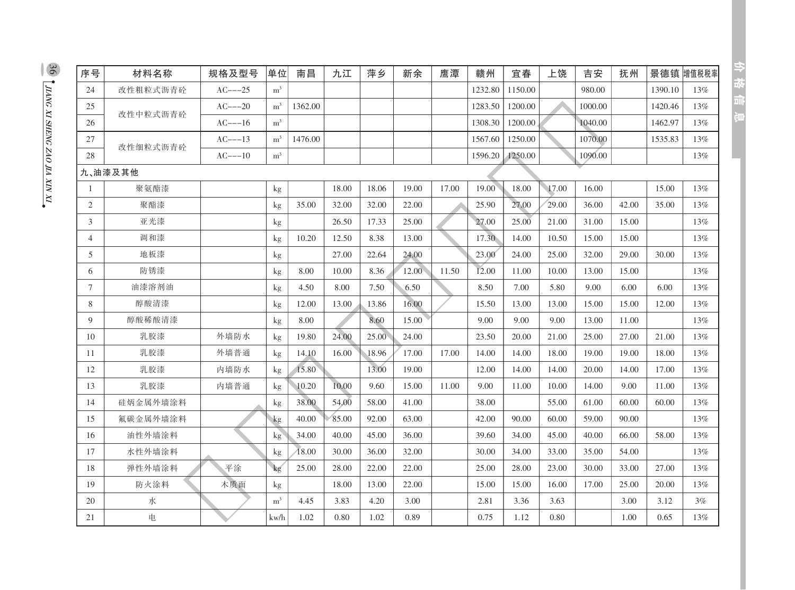| 序号             | 材料名称     | 规格及型号     | 单位             | 南昌      | 九江    | 萍乡    | 新余    | 鹰潭    | 赣州      | 宜春      | 上饶    | 吉安      | 抚州    | 景德镇     | 增值税税率  |
|----------------|----------|-----------|----------------|---------|-------|-------|-------|-------|---------|---------|-------|---------|-------|---------|--------|
| 24             | 改性粗粒式沥青砼 | $AC---25$ | $\rm m^3$      |         |       |       |       |       | 1232.80 | 1150.00 |       | 980.00  |       | 1390.10 | 13%    |
| 25             | 改性中粒式沥青砼 | $AC---20$ | m <sup>3</sup> | 1362.00 |       |       |       |       | 1283.50 | 1200.00 |       | 1000.00 |       | 1420.46 | 13%    |
| 26             |          | $AC---16$ | m <sup>3</sup> |         |       |       |       |       | 1308.30 | 1200.00 |       | 1040.00 |       | 1462.97 | $13\%$ |
| 27             | 改性细粒式沥青砼 | $AC---13$ | m <sup>3</sup> | 1476.00 |       |       |       |       | 1567.60 | 1250.00 |       | 1070.00 |       | 1535.83 | 13%    |
| 28             |          | $AC---10$ | $\rm m^3$      |         |       |       |       |       | 1596.20 | 1250.00 |       | 1090.00 |       |         | 13%    |
|                | 九、油漆及其他  |           |                |         |       |       |       |       |         |         |       |         |       |         |        |
| $\mathbf{1}$   | 聚氨酯漆     |           | kg             |         | 18.00 | 18.06 | 19.00 | 17.00 | 19.00   | 18.00   | 17.00 | 16.00   |       | 15.00   | 13%    |
| 2              | 聚酯漆      |           | kg             | 35.00   | 32.00 | 32.00 | 22.00 |       | 25.90   | 27.00   | 29.00 | 36.00   | 42.00 | 35.00   | 13%    |
| 3              | 亚光漆      |           | kg             |         | 26.50 | 17.33 | 25.00 |       | 27.00   | 25.00   | 21.00 | 31.00   | 15.00 |         | 13%    |
| $\overline{4}$ | 调和漆      |           | kg             | 10.20   | 12.50 | 8.38  | 13.00 |       | 17.30   | 14.00   | 10.50 | 15.00   | 15.00 |         | 13%    |
| 5              | 地板漆      |           | kg             |         | 27.00 | 22.64 | 24.00 |       | 23.00   | 24.00   | 25.00 | 32.00   | 29.00 | 30.00   | 13%    |
| 6              | 防锈漆      |           | kg             | 8.00    | 10.00 | 8.36  | 12.00 | 11.50 | 12.00   | 11.00   | 10.00 | 13.00   | 15.00 |         | 13%    |
| $\tau$         | 油漆溶剂油    |           | kg             | 4.50    | 8.00  | 7.50  | 6.50  |       | 8.50    | 7.00    | 5.80  | 9.00    | 6.00  | 6.00    | 13%    |
| 8              | 醇酸清漆     |           | kg             | 12.00   | 13.00 | 13.86 | 16.00 |       | 15.50   | 13.00   | 13.00 | 15.00   | 15.00 | 12.00   | 13%    |
| 9              | 醇酸稀酸清漆   |           | kg             | 8.00    |       | 8.60  | 15.00 |       | 9.00    | 9.00    | 9.00  | 13.00   | 11.00 |         | 13%    |
| 10             | 乳胶漆      | 外墙防水      | kg             | 19.80   | 24.00 | 25.00 | 24.00 |       | 23.50   | 20.00   | 21.00 | 25.00   | 27.00 | 21.00   | 13%    |
| 11             | 乳胶漆      | 外墙普通      | kg             | 14.10   | 16.00 | 18.96 | 17.00 | 17.00 | 14.00   | 14.00   | 18.00 | 19.00   | 19.00 | 18.00   | 13%    |
| 12             | 乳胶漆      | 内墙防水      | kg             | 15.80   |       | 13.00 | 19.00 |       | 12.00   | 14.00   | 14.00 | 20.00   | 14.00 | 17.00   | 13%    |
| 13             | 乳胶漆      | 内墙普通      | kg             | 10.20   | 10.00 | 9.60  | 15.00 | 11.00 | 9.00    | 11.00   | 10.00 | 14.00   | 9.00  | 11.00   | 13%    |
| 14             | 硅炳金属外墙涂料 |           | $\mathbf{kg}$  | 38.00   | 54.00 | 58.00 | 41.00 |       | 38.00   |         | 55.00 | 61.00   | 60.00 | 60.00   | 13%    |
| 15             | 氟碳金属外墙涂料 |           | kg             | 40.00   | 85.00 | 92.00 | 63.00 |       | 42.00   | 90.00   | 60.00 | 59.00   | 90.00 |         | 13%    |
| 16             | 油性外墙涂料   |           | kg             | 34.00   | 40.00 | 45.00 | 36.00 |       | 39.60   | 34.00   | 45.00 | 40.00   | 66.00 | 58.00   | 13%    |
| 17             | 水性外墙涂料   |           | $\mathbf{kg}$  | 18.00   | 30.00 | 36.00 | 32.00 |       | 30.00   | 34.00   | 33.00 | 35.00   | 54.00 |         | 13%    |
| 18             | 弹性外墙涂料   | 平涂        | kg             | 25.00   | 28.00 | 22.00 | 22.00 |       | 25.00   | 28.00   | 23.00 | 30.00   | 33.00 | 27.00   | 13%    |
| 19             | 防火涂料     | 木质面       | kg             |         | 18.00 | 13.00 | 22.00 |       | 15.00   | 15.00   | 16.00 | 17.00   | 25.00 | 20.00   | 13%    |
| 20             | 水        |           | $\rm m^3$      | 4.45    | 3.83  | 4.20  | 3.00  |       | 2.81    | 3.36    | 3.63  |         | 3.00  | 3.12    | 3%     |
| 21             | 电        |           | kw/h           | 1.02    | 0.80  | 1.02  | 0.89  |       | 0.75    | 1.12    | 0.80  |         | 1.00  | 0.65    | 13%    |

 $\frac{36}{26}$   $\int$  JIANG XI SHENG ZAO JIA XIN XI

中枢自守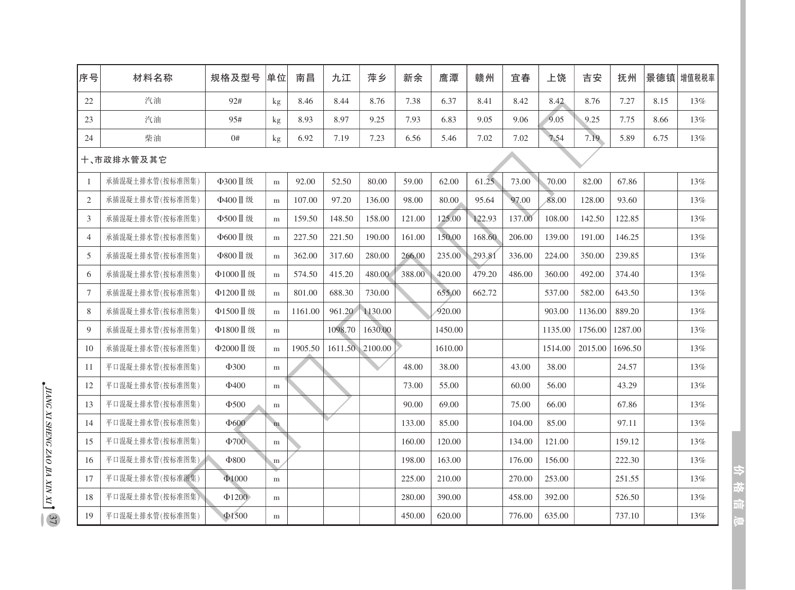| 序号             | 材料名称            | 规格及型号       | 单位        | 南昌      | 九江      | 萍乡      | 新余     | 鹰潭      | 赣州     | 宜春     | 上饶      | 吉安      | 抚州      |      | 景德镇博值税税率 |
|----------------|-----------------|-------------|-----------|---------|---------|---------|--------|---------|--------|--------|---------|---------|---------|------|----------|
| 22             | 汽油              | 92#         | kg        | 8.46    | 8.44    | 8.76    | 7.38   | 6.37    | 8.41   | 8.42   | 8.42    | 8.76    | 7.27    | 8.15 | 13%      |
| 23             | 汽油              | 95#         | kg        | 8.93    | 8.97    | 9.25    | 7.93   | 6.83    | 9.05   | 9.06   | 9.05    | 9.25    | 7.75    | 8.66 | $13\%$   |
| 24             | 柴油              | 0#          | kg        | 6.92    | 7.19    | 7.23    | 6.56   | 5.46    | 7.02   | 7.02   | 7.54    | 7.19    | 5.89    | 6.75 | $13\%$   |
|                | 十、市政排水管及其它      |             |           |         |         |         |        |         |        |        |         |         |         |      |          |
| 1              | 承插混凝土排水管(按标准图集) | Φ300 Ⅱ级     | m         | 92.00   | 52.50   | 80.00   | 59.00  | 62.00   | 61.25  | 73.00  | 70.00   | 82.00   | 67.86   |      | $13\%$   |
| $\mathbf{2}$   | 承插混凝土排水管(按标准图集) | Φ400 Ⅱ级     | ${\bf m}$ | 107.00  | 97.20   | 136.00  | 98.00  | 80.00   | 95.64  | 97.00  | 88.00   | 128.00  | 93.60   |      | 13%      |
| 3              | 承插混凝土排水管(按标准图集) | Φ500 Ⅱ级     | m         | 159.50  | 148.50  | 158.00  | 121.00 | 125.00  | 122.93 | 137.00 | 108.00  | 142.50  | 122.85  |      | 13%      |
| $\overline{4}$ | 承插混凝土排水管(按标准图集) | Φ600 Ⅱ级     | m         | 227.50  | 221.50  | 190.00  | 161.00 | 150.00  | 168.60 | 206.00 | 139.00  | 191.00  | 146.25  |      | 13%      |
| 5              | 承插混凝土排水管(按标准图集) | Φ800 Ⅱ级     | ${\bf m}$ | 362.00  | 317.60  | 280.00  | 266.00 | 235.00  | 293.81 | 336.00 | 224.00  | 350.00  | 239.85  |      | 13%      |
| 6              | 承插混凝土排水管(按标准图集) | Φ1000Ⅱ级     | m         | 574.50  | 415.20  | 480.00  | 388.00 | 420.00  | 479.20 | 486.00 | 360.00  | 492.00  | 374.40  |      | 13%      |
| $\tau$         | 承插混凝土排水管(按标准图集) | Φ1200Ⅱ级     | m         | 801.00  | 688.30  | 730.00  |        | 655.00  | 662.72 |        | 537.00  | 582.00  | 643.50  |      | $13\%$   |
| 8              | 承插混凝土排水管(按标准图集) | Φ1500Ⅱ级     | m         | 1161.00 | 961.20  | 1130.00 |        | 920.00  |        |        | 903.00  | 1136.00 | 889.20  |      | 13%      |
| 9              | 承插混凝土排水管(按标准图集) | Φ1800Ⅱ级     | m         |         | 1098.70 | 1630.00 |        | 1450.00 |        |        | 1135.00 | 1756.00 | 1287.00 |      | 13%      |
| 10             | 承插混凝土排水管(按标准图集) | Φ2000Ⅱ级     | m         | 1905.50 | 1611.50 | 2100.00 |        | 1610.00 |        |        | 1514.00 | 2015.00 | 1696.50 |      | $13\%$   |
| 11             | 平口混凝土排水管(按标准图集) | $\Phi$ 300  | ${\bf m}$ |         |         |         | 48.00  | 38.00   |        | 43.00  | 38.00   |         | 24.57   |      | 13%      |
| 12             | 平口混凝土排水管(按标准图集) | $\Phi$ 400  | m         |         |         |         | 73.00  | 55.00   |        | 60.00  | 56.00   |         | 43.29   |      | 13%      |
| 13             | 平口混凝土排水管(按标准图集) | $\Phi$ 500  | ${\bf m}$ |         |         |         | 90.00  | 69.00   |        | 75.00  | 66.00   |         | 67.86   |      | 13%      |
| 14             | 平口混凝土排水管(按标准图集) | $\Phi$ 600  | m         |         |         |         | 133.00 | 85.00   |        | 104.00 | 85.00   |         | 97.11   |      | 13%      |
| 15             | 平口混凝土排水管(按标准图集) | $\Phi$ 700  | m         |         |         |         | 160.00 | 120.00  |        | 134.00 | 121.00  |         | 159.12  |      | 13%      |
| 16             | 平口混凝土排水管(按标准图集) | $\Phi$ 800  | m         |         |         |         | 198.00 | 163.00  |        | 176.00 | 156.00  |         | 222.30  |      | $13\%$   |
| 17             | 平口混凝土排水管(按标准图集) | $\Phi$ 1000 | ${\bf m}$ |         |         |         | 225.00 | 210.00  |        | 270.00 | 253.00  |         | 251.55  |      | 13%      |
| 18             | 平口混凝土排水管(按标准图集) | $\Phi$ 1200 | m         |         |         |         | 280.00 | 390.00  |        | 458.00 | 392.00  |         | 526.50  |      | $13\%$   |
| 19             | 平口混凝土排水管(按标准图集) | $\Phi$ 1500 | m         |         |         |         | 450.00 | 620.00  |        | 776.00 | 635.00  |         | 737.10  |      | 13%      |

 $\begin{array}{ll} \hline \text{LW} & \text{LW} \\ \text{LW} & \text{LW} \\ \text{LW} & \text{LW} \\ \text{LW} & \text{LW} \\ \text{LW} & \text{LW} \\ \text{LW} & \text{LW} \\ \text{LW} & \text{LW} \\ \text{LW} & \text{LW} \\ \text{LW} & \text{LW} \\ \text{LW} & \text{LW} \\ \text{LW} & \text{LW} \\ \text{LW} & \text{LW} \\ \text{LW} & \text{LW} \\ \text{LW} & \text{LW} \\ \text{LW} & \text{LW} \\$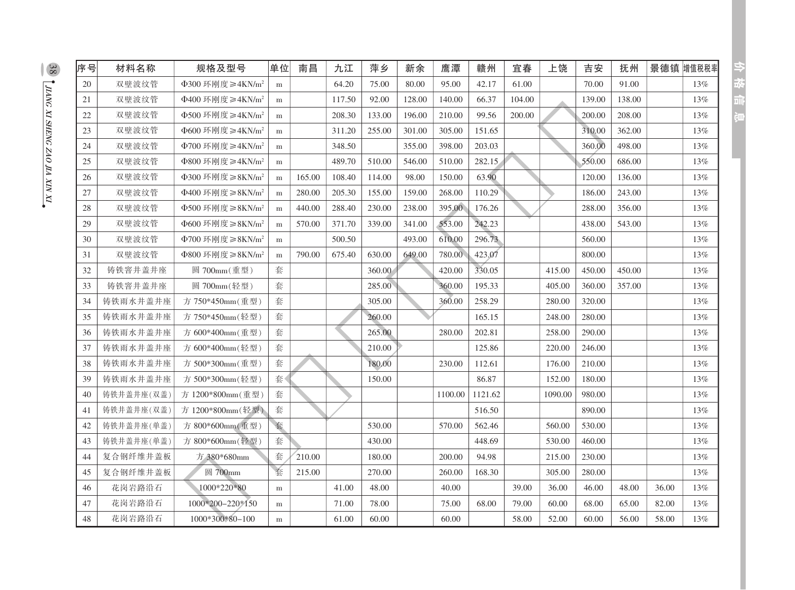| 序号 | 材料名称       | 规格及型号                             | 单位        | 南昌     | 九江     | 萍乡     | 新余     | 鹰潭      | 赣州      | 宜春     | 上饶      | 吉安     | 抚州     | 景德镇   | 增值税税率  |
|----|------------|-----------------------------------|-----------|--------|--------|--------|--------|---------|---------|--------|---------|--------|--------|-------|--------|
| 20 | 双壁波纹管      | Φ300 环刚度≥4KN/m <sup>2</sup>       | ${\bf m}$ |        | 64.20  | 75.00  | 80.00  | 95.00   | 42.17   | 61.00  |         | 70.00  | 91.00  |       | $13\%$ |
| 21 | 双壁波纹管      | Φ400 环刚度≥4KN/m <sup>2</sup>       | m         |        | 117.50 | 92.00  | 128.00 | 140.00  | 66.37   | 104.00 |         | 139.00 | 138.00 |       | 13%    |
| 22 | 双壁波纹管      | $\Phi$ 500 环刚度≥4KN/m <sup>2</sup> | m         |        | 208.30 | 133.00 | 196.00 | 210.00  | 99.56   | 200.00 |         | 200.00 | 208.00 |       | 13%    |
| 23 | 双壁波纹管      | $\Phi$ 600 环刚度≥4KN/m <sup>2</sup> | m         |        | 311.20 | 255.00 | 301.00 | 305.00  | 151.65  |        |         | 310.00 | 362.00 |       | 13%    |
| 24 | 双壁波纹管      | Φ700 环刚度≥4KN/m <sup>2</sup>       | m         |        | 348.50 |        | 355.00 | 398.00  | 203.03  |        |         | 360.00 | 498.00 |       | 13%    |
| 25 | 双壁波纹管      | Φ800 环刚度≥4KN/m <sup>2</sup>       | m         |        | 489.70 | 510.00 | 546.00 | 510.00  | 282.15  |        |         | 550.00 | 686.00 |       | 13%    |
| 26 | 双壁波纹管      | Φ300 环刚度≥8KN/m <sup>2</sup>       | ${\bf m}$ | 165.00 | 108.40 | 114.00 | 98.00  | 150.00  | 63.90   |        |         | 120.00 | 136.00 |       | 13%    |
| 27 | 双壁波纹管      | Φ400 环刚度≥8KN/m <sup>2</sup>       | ${\bf m}$ | 280.00 | 205.30 | 155.00 | 159.00 | 268.00  | 110.29  |        |         | 186.00 | 243.00 |       | 13%    |
| 28 | 双壁波纹管      | Φ500 环刚度≥8KN/m <sup>2</sup>       | m         | 440.00 | 288.40 | 230.00 | 238.00 | 395.00  | 176.26  |        |         | 288.00 | 356.00 |       | 13%    |
| 29 | 双壁波纹管      | Φ600 环刚度≥8KN/m <sup>2</sup>       | ${\bf m}$ | 570.00 | 371.70 | 339.00 | 341.00 | 553.00  | 242.23  |        |         | 438.00 | 543.00 |       | 13%    |
| 30 | 双壁波纹管      | Φ700 环刚度≥8KN/m <sup>2</sup>       | m         |        | 500.50 |        | 493.00 | 610.00  | 296.73  |        |         | 560.00 |        |       | 13%    |
| 31 | 双壁波纹管      | $\Phi$ 800 环刚度≥8KN/m <sup>2</sup> | m         | 790.00 | 675.40 | 630.00 | 649.00 | 780.00  | 423.07  |        |         | 800.00 |        |       | 13%    |
| 32 | 铸铁窨井盖井座    | 圆 700mm(重型)                       | 套         |        |        | 360.00 |        | 420.00  | 330.05  |        | 415.00  | 450.00 | 450.00 |       | 13%    |
| 33 | 铸铁窨井盖井座    | 圆 700mm(轻型)                       | 套         |        |        | 285.00 |        | 360.00  | 195.33  |        | 405.00  | 360.00 | 357.00 |       | 13%    |
| 34 | 铸铁雨水井盖井座   | 方 750*450mm(重型)                   | 套         |        |        | 305.00 |        | 360.00  | 258.29  |        | 280.00  | 320.00 |        |       | 13%    |
| 35 | 铸铁雨水井盖井座   | 方 750*450mm(轻型)                   | 套         |        |        | 260.00 |        |         | 165.15  |        | 248.00  | 280.00 |        |       | 13%    |
| 36 | 铸铁雨水井盖井座   | 方 600*400mm(重型)                   | 套         |        |        | 265.00 |        | 280.00  | 202.81  |        | 258.00  | 290.00 |        |       | 13%    |
| 37 | 铸铁雨水井盖井座   | 方 600*400mm(轻型)                   | 套         |        |        | 210.00 |        |         | 125.86  |        | 220.00  | 246.00 |        |       | 13%    |
| 38 | 铸铁雨水井盖井座   | 方 500*300mm(重型)                   | 套         |        |        | 180.00 |        | 230.00  | 112.61  |        | 176.00  | 210.00 |        |       | 13%    |
| 39 | 铸铁雨水井盖井座   | 方 500*300mm(轻型)                   | 套         |        |        | 150.00 |        |         | 86.87   |        | 152.00  | 180.00 |        |       | 13%    |
| 40 | 铸铁井盖井座(双盖) | 方 1200*800mm(重型)                  | 套         |        |        |        |        | 1100.00 | 1121.62 |        | 1090.00 | 980.00 |        |       | 13%    |
| 41 | 铸铁井盖井座(双盖) | 方 1200*800mm(轻型)                  | 套         |        |        |        |        |         | 516.50  |        |         | 890.00 |        |       | 13%    |
| 42 | 铸铁井盖井座(单盖) | 方 800*600mm(重型)                   | 套         |        |        | 530.00 |        | 570.00  | 562.46  |        | 560.00  | 530.00 |        |       | 13%    |
| 43 | 铸铁井盖井座(单盖) | 方 800*600mm(轻型)                   | 套         |        |        | 430.00 |        |         | 448.69  |        | 530.00  | 460.00 |        |       | 13%    |
| 44 | 复合钢纤维井盖板   | 方 380*680mm                       | 套         | 210.00 |        | 180.00 |        | 200.00  | 94.98   |        | 215.00  | 230.00 |        |       | 13%    |
| 45 | 复合钢纤维井盖板   | 圆 700mm                           | 套         | 215.00 |        | 270.00 |        | 260.00  | 168.30  |        | 305.00  | 280.00 |        |       | 13%    |
| 46 | 花岗岩路沿石     | 1000*220*80                       | m         |        | 41.00  | 48.00  |        | 40.00   |         | 39.00  | 36.00   | 46.00  | 48.00  | 36.00 | 13%    |
| 47 | 花岗岩路沿石     | 1000*200-220*150                  | m         |        | 71.00  | 78.00  |        | 75.00   | 68.00   | 79.00  | 60.00   | 68.00  | 65.00  | 82.00 | 13%    |
| 48 | 花岗岩路沿石     | 1000*300*80-100                   | m         |        | 61.00  | 60.00  |        | 60.00   |         | 58.00  | 52.00   | 60.00  | 56.00  | 58.00 | 13%    |

 $\frac{38}{\sqrt{34\text{NC} \times 1 \times \text{HENC} \times 40 \times \text{IA} \times \text{NN} \times 1}}$ 

分枝间间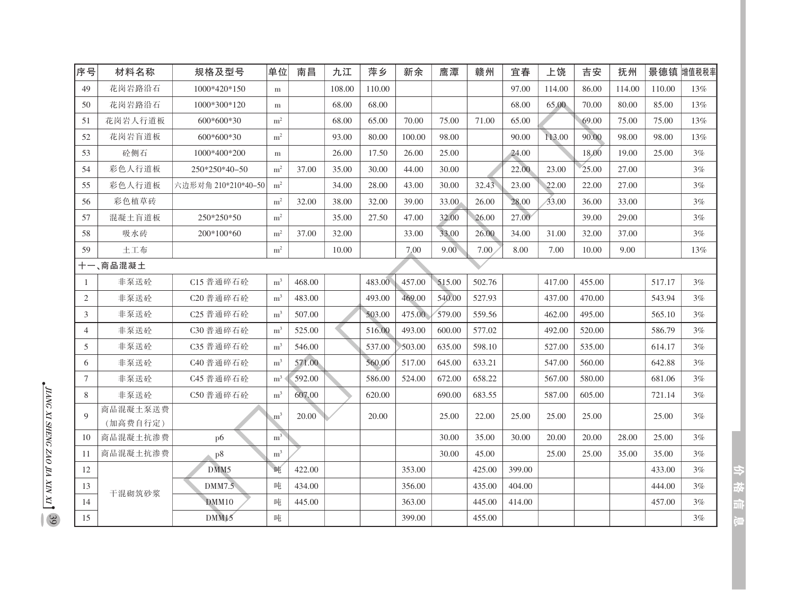| 序号             | 材料名称     | 规格及型号               | 单位             | 南昌     | 九江     | 萍乡     | 新余     | 鹰潭     | 赣州     | 宜春     | 上饶     | 吉安     | 抚州     | 景德镇    | 增值税税率 |
|----------------|----------|---------------------|----------------|--------|--------|--------|--------|--------|--------|--------|--------|--------|--------|--------|-------|
| 49             | 花岗岩路沿石   | 1000*420*150        | m              |        | 108.00 | 110.00 |        |        |        | 97.00  | 114.00 | 86.00  | 114.00 | 110.00 | 13%   |
| 50             | 花岗岩路沿石   | 1000*300*120        | m              |        | 68.00  | 68.00  |        |        |        | 68.00  | 65.00  | 70.00  | 80.00  | 85.00  | 13%   |
| 51             | 花岗岩人行道板  | 600*600*30          | $\rm m^2$      |        | 68.00  | 65.00  | 70.00  | 75.00  | 71.00  | 65.00  |        | 69.00  | 75.00  | 75.00  | 13%   |
| 52             | 花岗岩盲道板   | 600*600*30          | m <sup>2</sup> |        | 93.00  | 80.00  | 100.00 | 98.00  |        | 90.00  | 113.00 | 90.00  | 98.00  | 98.00  | 13%   |
| 53             | 砼侧石      | 1000*400*200        | m              |        | 26.00  | 17.50  | 26.00  | 25.00  |        | 24.00  |        | 18.00  | 19.00  | 25.00  | 3%    |
| 54             | 彩色人行道板   | 250*250*40-50       | m <sup>2</sup> | 37.00  | 35.00  | 30.00  | 44.00  | 30.00  |        | 22.00  | 23.00  | 25.00  | 27.00  |        | 3%    |
| 55             | 彩色人行道板   | 六边形对角 210*210*40-50 | m <sup>2</sup> |        | 34.00  | 28.00  | 43.00  | 30.00  | 32.43  | 23.00  | 22.00  | 22.00  | 27.00  |        | 3%    |
| 56             | 彩色植草砖    |                     | m <sup>2</sup> | 32.00  | 38.00  | 32.00  | 39.00  | 33.00  | 26.00  | 28.00  | 33.00  | 36.00  | 33.00  |        | 3%    |
| 57             | 混凝土盲道板   | 250*250*50          | m <sup>2</sup> |        | 35.00  | 27.50  | 47.00  | 32.00  | 26.00  | 27.00  |        | 39.00  | 29.00  |        | 3%    |
| 58             | 吸水砖      | 200*100*60          | m <sup>2</sup> | 37.00  | 32.00  |        | 33.00  | 33.00  | 26.00  | 34.00  | 31.00  | 32.00  | 37.00  |        | 3%    |
| 59             | 土工布      |                     | $\rm m^2$      |        | 10.00  |        | 7.00   | 9.00   | 7.00   | 8.00   | 7.00   | 10.00  | 9.00   |        | 13%   |
|                | 十一、商品混凝土 |                     |                |        |        |        |        |        |        |        |        |        |        |        |       |
|                | 非泵送砼     | C15 普通碎石砼           | m <sup>3</sup> | 468.00 |        | 483.00 | 457.00 | 515.00 | 502.76 |        | 417.00 | 455.00 |        | 517.17 | 3%    |
| $\mathfrak{2}$ | 非泵送砼     | C20 普通碎石砼           | m <sup>3</sup> | 483.00 |        | 493.00 | 469.00 | 540.00 | 527.93 |        | 437.00 | 470.00 |        | 543.94 | 3%    |
| 3              | 非泵送砼     | C25 普通碎石砼           | m <sup>3</sup> | 507.00 |        | 503.00 | 475.00 | 579.00 | 559.56 |        | 462.00 | 495.00 |        | 565.10 | 3%    |
| $\overline{4}$ | 非泵送砼     | C30 普通碎石砼           | m <sup>3</sup> | 525.00 |        | 516.00 | 493.00 | 600.00 | 577.02 |        | 492.00 | 520.00 |        | 586.79 | 3%    |
| 5              | 非泵送砼     | C35 普通碎石砼           | m <sup>3</sup> | 546.00 |        | 537.00 | 503.00 | 635.00 | 598.10 |        | 527.00 | 535.00 |        | 614.17 | 3%    |
| 6              | 非泵送砼     | C40 普通碎石砼           | m <sup>3</sup> | 571.00 |        | 560.00 | 517.00 | 645.00 | 633.21 |        | 547.00 | 560.00 |        | 642.88 | 3%    |
| 7              | 非泵送砼     | C45 普通碎石砼           | m <sup>3</sup> | 592.00 |        | 586.00 | 524.00 | 672.00 | 658.22 |        | 567.00 | 580.00 |        | 681.06 | 3%    |
| 8              | 非泵送砼     | C50 普通碎石砼           | m <sup>3</sup> | 607.00 |        | 620.00 |        | 690.00 | 683.55 |        | 587.00 | 605.00 |        | 721.14 | 3%    |
| $\mathbf Q$    | 商品混凝土泵送费 |                     | m <sup>3</sup> | 20.00  |        | 20.00  |        | 25.00  | 22.00  | 25.00  | 25.00  | 25.00  |        | 25.00  | 3%    |
|                | (加高费自行定) |                     |                |        |        |        |        |        |        |        |        |        |        |        |       |
| 10             | 商品混凝土抗渗费 | p6                  | m <sup>3</sup> |        |        |        |        | 30.00  | 35.00  | 30.00  | 20.00  | 20.00  | 28.00  | 25.00  | 3%    |
| 11             | 商品混凝土抗渗费 | p8                  | m <sup>3</sup> |        |        |        |        | 30.00  | 45.00  |        | 25.00  | 25.00  | 35.00  | 35.00  | 3%    |
| 12             |          | DMM5                | 唓              | 422.00 |        |        | 353.00 |        | 425.00 | 399.00 |        |        |        | 433.00 | 3%    |
| 13             | 干混砌筑砂浆   | DMM7.5              | 吨              | 434.00 |        |        | 356.00 |        | 435.00 | 404.00 |        |        |        | 444.00 | 3%    |
| 14             |          | DMM10               | 唓              | 445.00 |        |        | 363.00 |        | 445.00 | 414.00 |        |        |        | 457.00 | 3%    |
| 15             |          | DMM15               | 庫              |        |        |        | 399.00 |        | 455.00 |        |        |        |        |        | 3%    |

 $\frac{1}{2}$  THANG XI SHENG ZAO IIA XIN XI  $\frac{1}{2}$